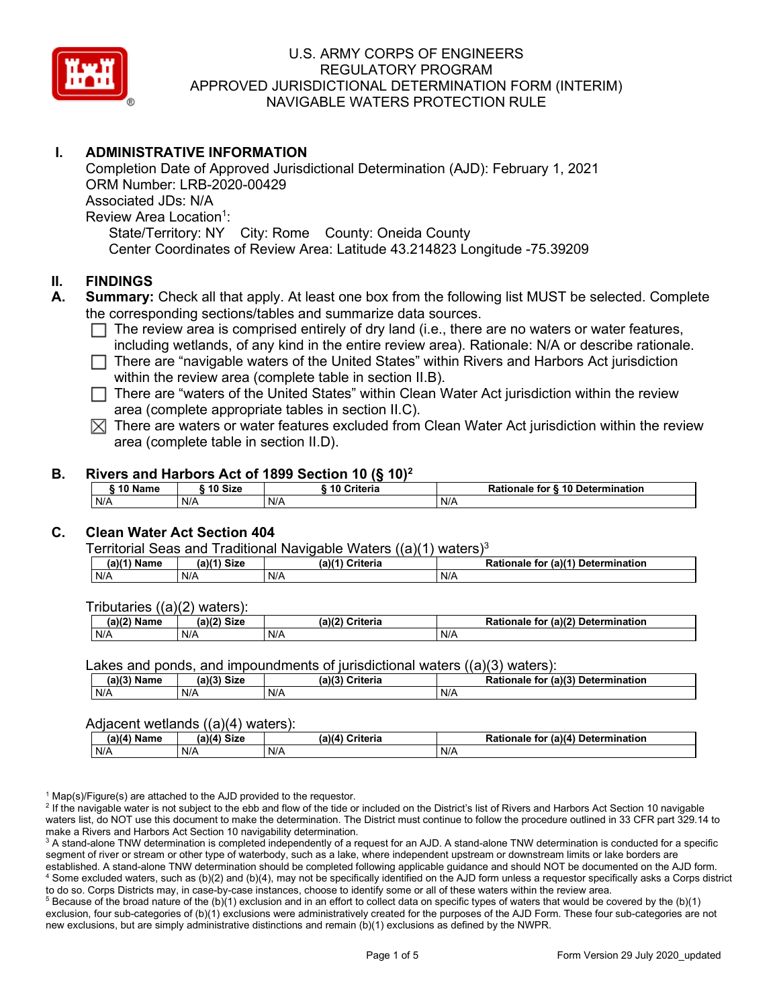

# **I. ADMINISTRATIVE INFORMATION**

Completion Date of Approved Jurisdictional Determination (AJD): February 1, 2021 ORM Number: LRB-2020-00429 Associated JDs: N/A Review Area Location<sup>1</sup>: State/Territory: NY City: Rome County: Oneida County Center Coordinates of Review Area: Latitude 43.214823 Longitude -75.39209

### **II. FINDINGS**

- **A. Summary:** Check all that apply. At least one box from the following list MUST be selected. Complete the corresponding sections/tables and summarize data sources.
	- $\Box$  The review area is comprised entirely of dry land (i.e., there are no waters or water features, including wetlands, of any kind in the entire review area). Rationale: N/A or describe rationale.
	- $\Box$  There are "navigable waters of the United States" within Rivers and Harbors Act jurisdiction within the review area (complete table in section II.B).
	- $\Box$  There are "waters of the United States" within Clean Water Act jurisdiction within the review area (complete appropriate tables in section II.C).
	- $\boxtimes$  There are waters or water features excluded from Clean Water Act jurisdiction within the review area (complete table in section II.D).

### **B. Rivers and Harbors Act of 1899 Section 10 (§ 10)2**

|     | ົ 10 Name |     | ົ 10 Size | Criteria<br>. 1 U |     | Rationale for § 10 Determination |  |
|-----|-----------|-----|-----------|-------------------|-----|----------------------------------|--|
| N/A |           | N/A |           | N/A               | N/A |                                  |  |

# **C. Clean Water Act Section 404**

Territorial Seas and Traditional Navigable Waters  $((a)(1)$  waters)<sup>3</sup>

| $(a)(1)$ .<br>Name | $(a)$ $(4)$<br>Size | (a)<br>Criteria | (a)(1) Determination<br>Rationale<br>for |
|--------------------|---------------------|-----------------|------------------------------------------|
| N/A                | N/A                 | N/A             | N/A                                      |

Tributaries ((a)(2) waters):

| н   | $\sim$<br>$\sim$ Cime<br>JILE | 21/2<br><br>пе | (2)<br><b>Determination</b><br>TOI<br>naie |
|-----|-------------------------------|----------------|--------------------------------------------|
| N/A | N/A                           | N/A            | N/A                                        |

Lakes and ponds, and impoundments of jurisdictional waters  $((a)(3)$  waters):

| (a)(3) Name | (a)(3) Size | (a)(?') | Criteria | <b>Rationale</b><br>for | $\mathcal{L}$ (a)(?)<br>Determination |
|-------------|-------------|---------|----------|-------------------------|---------------------------------------|
| N/A         | N/A         | N/A     |          | N/A                     |                                       |

#### Adjacent wetlands ((a)(4) waters):

| $(a)(4)$ Name | (a)(4) Size | .<br>(a)(4) Criteria | Rationale for (a)(4) Determination |
|---------------|-------------|----------------------|------------------------------------|
| N/A           | N/A         | N/A                  | N/A                                |

 $1$  Map(s)/Figure(s) are attached to the AJD provided to the requestor.

<sup>2</sup> If the navigable water is not subject to the ebb and flow of the tide or included on the District's list of Rivers and Harbors Act Section 10 navigable waters list, do NOT use this document to make the determination. The District must continue to follow the procedure outlined in 33 CFR part 329.14 to make a Rivers and Harbors Act Section 10 navigability determination.

<sup>3</sup> A stand-alone TNW determination is completed independently of a request for an AJD. A stand-alone TNW determination is conducted for a specific segment of river or stream or other type of waterbody, such as a lake, where independent upstream or downstream limits or lake borders are established. A stand-alone TNW determination should be completed following applicable guidance and should NOT be documented on the AJD form. <sup>4</sup> Some excluded waters, such as (b)(2) and (b)(4), may not be specifically identified on the AJD form unless a requestor specifically asks a Corps district to do so. Corps Districts may, in case-by-case instances, choose to identify some or all of these waters within the review area.

 $5$  Because of the broad nature of the (b)(1) exclusion and in an effort to collect data on specific types of waters that would be covered by the (b)(1) exclusion, four sub-categories of (b)(1) exclusions were administratively created for the purposes of the AJD Form. These four sub-categories are not new exclusions, but are simply administrative distinctions and remain (b)(1) exclusions as defined by the NWPR.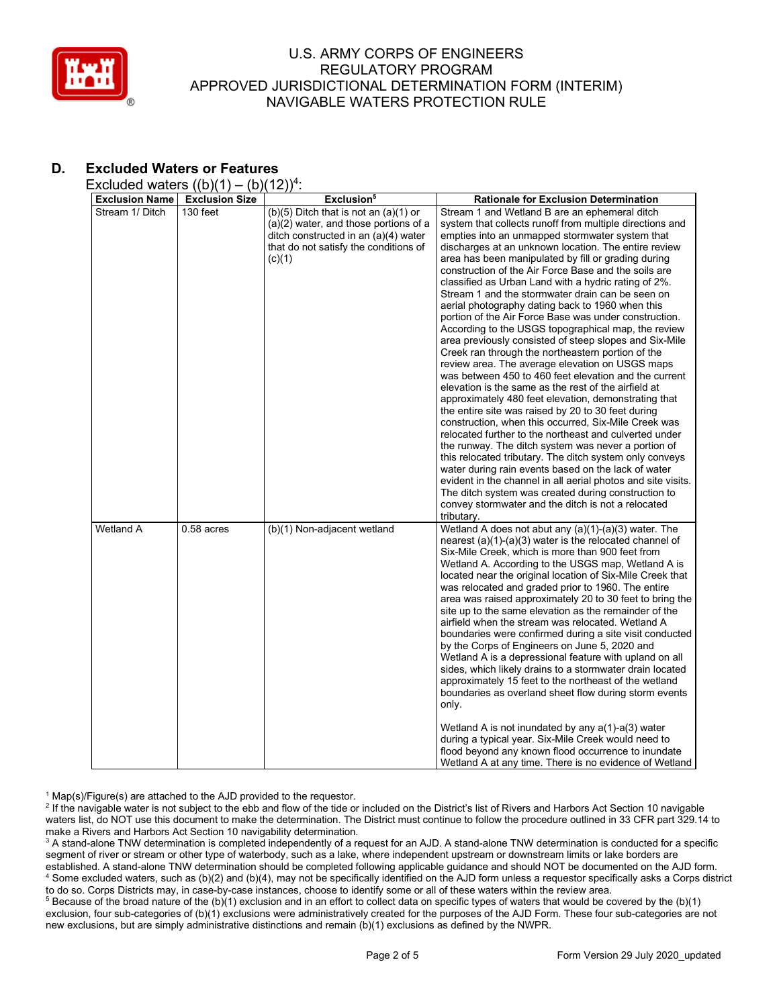

# **D. Excluded Waters or Features**

Excluded waters  $((b)(1) - (b)(12))^4$ :

| <b>Exclusion Name</b> | $\sqrt{2}$<br><b>Exclusion Size</b> | .,,<br>Exclusion <sup>5</sup>             | <b>Rationale for Exclusion Determination</b>                                                                  |
|-----------------------|-------------------------------------|-------------------------------------------|---------------------------------------------------------------------------------------------------------------|
| Stream 1/ Ditch       | 130 feet                            | $(b)(5)$ Ditch that is not an $(a)(1)$ or | Stream 1 and Wetland B are an ephemeral ditch                                                                 |
|                       |                                     | $(a)(2)$ water, and those portions of a   | system that collects runoff from multiple directions and                                                      |
|                       |                                     | ditch constructed in an (a)(4) water      | empties into an unmapped stormwater system that                                                               |
|                       |                                     | that do not satisfy the conditions of     | discharges at an unknown location. The entire review                                                          |
|                       |                                     | (c)(1)                                    | area has been manipulated by fill or grading during                                                           |
|                       |                                     |                                           | construction of the Air Force Base and the soils are                                                          |
|                       |                                     |                                           | classified as Urban Land with a hydric rating of 2%.                                                          |
|                       |                                     |                                           | Stream 1 and the stormwater drain can be seen on                                                              |
|                       |                                     |                                           | aerial photography dating back to 1960 when this                                                              |
|                       |                                     |                                           | portion of the Air Force Base was under construction.                                                         |
|                       |                                     |                                           | According to the USGS topographical map, the review                                                           |
|                       |                                     |                                           | area previously consisted of steep slopes and Six-Mile                                                        |
|                       |                                     |                                           | Creek ran through the northeastern portion of the                                                             |
|                       |                                     |                                           | review area. The average elevation on USGS maps                                                               |
|                       |                                     |                                           | was between 450 to 460 feet elevation and the current                                                         |
|                       |                                     |                                           | elevation is the same as the rest of the airfield at                                                          |
|                       |                                     |                                           | approximately 480 feet elevation, demonstrating that                                                          |
|                       |                                     |                                           | the entire site was raised by 20 to 30 feet during                                                            |
|                       |                                     |                                           | construction, when this occurred, Six-Mile Creek was                                                          |
|                       |                                     |                                           | relocated further to the northeast and culverted under                                                        |
|                       |                                     |                                           | the runway. The ditch system was never a portion of                                                           |
|                       |                                     |                                           | this relocated tributary. The ditch system only conveys                                                       |
|                       |                                     |                                           | water during rain events based on the lack of water                                                           |
|                       |                                     |                                           | evident in the channel in all aerial photos and site visits.                                                  |
|                       |                                     |                                           | The ditch system was created during construction to                                                           |
|                       |                                     |                                           | convey stormwater and the ditch is not a relocated                                                            |
|                       |                                     |                                           | tributary.                                                                                                    |
| Wetland A             | $0.58$ acres                        | (b)(1) Non-adjacent wetland               | Wetland A does not abut any (a)(1)-(a)(3) water. The                                                          |
|                       |                                     |                                           | nearest $(a)(1)-(a)(3)$ water is the relocated channel of<br>Six-Mile Creek, which is more than 900 feet from |
|                       |                                     |                                           | Wetland A. According to the USGS map, Wetland A is                                                            |
|                       |                                     |                                           | located near the original location of Six-Mile Creek that                                                     |
|                       |                                     |                                           | was relocated and graded prior to 1960. The entire                                                            |
|                       |                                     |                                           | area was raised approximately 20 to 30 feet to bring the                                                      |
|                       |                                     |                                           | site up to the same elevation as the remainder of the                                                         |
|                       |                                     |                                           | airfield when the stream was relocated. Wetland A                                                             |
|                       |                                     |                                           | boundaries were confirmed during a site visit conducted                                                       |
|                       |                                     |                                           | by the Corps of Engineers on June 5, 2020 and                                                                 |
|                       |                                     |                                           | Wetland A is a depressional feature with upland on all                                                        |
|                       |                                     |                                           | sides, which likely drains to a stormwater drain located                                                      |
|                       |                                     |                                           | approximately 15 feet to the northeast of the wetland                                                         |
|                       |                                     |                                           | boundaries as overland sheet flow during storm events                                                         |
|                       |                                     |                                           | only.                                                                                                         |
|                       |                                     |                                           | Wetland A is not inundated by any a(1)-a(3) water                                                             |
|                       |                                     |                                           | during a typical year. Six-Mile Creek would need to                                                           |
|                       |                                     |                                           | flood beyond any known flood occurrence to inundate                                                           |
|                       |                                     |                                           | Wetland A at any time. There is no evidence of Wetland                                                        |

 $1$  Map(s)/Figure(s) are attached to the AJD provided to the requestor.

<sup>2</sup> If the navigable water is not subject to the ebb and flow of the tide or included on the District's list of Rivers and Harbors Act Section 10 navigable waters list, do NOT use this document to make the determination. The District must continue to follow the procedure outlined in 33 CFR part 329.14 to make a Rivers and Harbors Act Section 10 navigability determination.

<sup>3</sup> A stand-alone TNW determination is completed independently of a request for an AJD. A stand-alone TNW determination is conducted for a specific segment of river or stream or other type of waterbody, such as a lake, where independent upstream or downstream limits or lake borders are established. A stand-alone TNW determination should be completed following applicable guidance and should NOT be documented on the AJD form. <sup>4</sup> Some excluded waters, such as (b)(2) and (b)(4), may not be specifically identified on the AJD form unless a requestor specifically asks a Corps district to do so. Corps Districts may, in case-by-case instances, choose to identify some or all of these waters within the review area.

<sup>5</sup> Because of the broad nature of the (b)(1) exclusion and in an effort to collect data on specific types of waters that would be covered by the (b)(1) exclusion, four sub-categories of (b)(1) exclusions were administratively created for the purposes of the AJD Form. These four sub-categories are not new exclusions, but are simply administrative distinctions and remain (b)(1) exclusions as defined by the NWPR.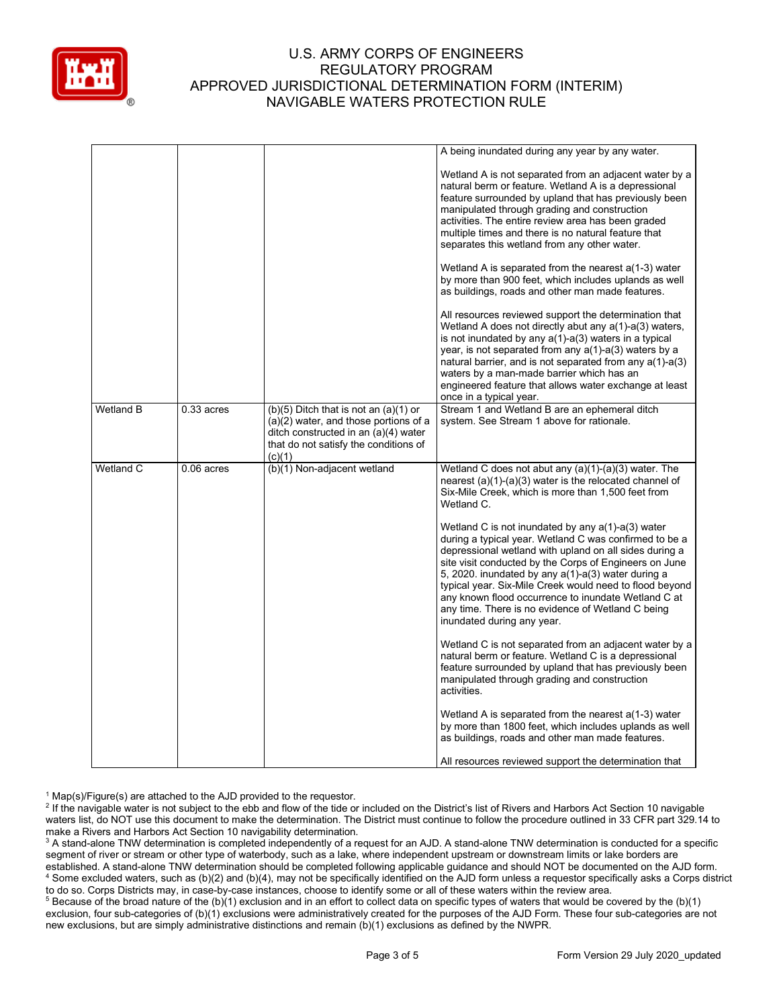

|                  |              |                                                                                                                                                                               | A being inundated during any year by any water.                                                                                                                                                                                                                                                                                                                                                                                                                                                                                                                                                                                                                                                                                                                                                                                                                                                                                                                      |
|------------------|--------------|-------------------------------------------------------------------------------------------------------------------------------------------------------------------------------|----------------------------------------------------------------------------------------------------------------------------------------------------------------------------------------------------------------------------------------------------------------------------------------------------------------------------------------------------------------------------------------------------------------------------------------------------------------------------------------------------------------------------------------------------------------------------------------------------------------------------------------------------------------------------------------------------------------------------------------------------------------------------------------------------------------------------------------------------------------------------------------------------------------------------------------------------------------------|
|                  |              |                                                                                                                                                                               | Wetland A is not separated from an adjacent water by a<br>natural berm or feature. Wetland A is a depressional<br>feature surrounded by upland that has previously been<br>manipulated through grading and construction<br>activities. The entire review area has been graded<br>multiple times and there is no natural feature that<br>separates this wetland from any other water.<br>Wetland A is separated from the nearest a(1-3) water<br>by more than 900 feet, which includes uplands as well<br>as buildings, roads and other man made features.<br>All resources reviewed support the determination that<br>Wetland A does not directly abut any a(1)-a(3) waters,<br>is not inundated by any a(1)-a(3) waters in a typical<br>year, is not separated from any $a(1)$ -a(3) waters by a<br>natural barrier, and is not separated from any a(1)-a(3)<br>waters by a man-made barrier which has an<br>engineered feature that allows water exchange at least |
|                  |              |                                                                                                                                                                               | once in a typical year.                                                                                                                                                                                                                                                                                                                                                                                                                                                                                                                                                                                                                                                                                                                                                                                                                                                                                                                                              |
| <b>Wetland B</b> | $0.33$ acres | $(b)(5)$ Ditch that is not an $(a)(1)$ or<br>(a)(2) water, and those portions of a<br>ditch constructed in an (a)(4) water<br>that do not satisfy the conditions of<br>(c)(1) | Stream 1 and Wetland B are an ephemeral ditch<br>system. See Stream 1 above for rationale.                                                                                                                                                                                                                                                                                                                                                                                                                                                                                                                                                                                                                                                                                                                                                                                                                                                                           |
| Wetland C        | $0.06$ acres | (b)(1) Non-adjacent wetland                                                                                                                                                   | Wetland C does not abut any (a)(1)-(a)(3) water. The<br>nearest (a)(1)-(a)(3) water is the relocated channel of<br>Six-Mile Creek, which is more than 1,500 feet from<br>Wetland C.<br>Wetland C is not inundated by any a(1)-a(3) water<br>during a typical year. Wetland C was confirmed to be a<br>depressional wetland with upland on all sides during a<br>site visit conducted by the Corps of Engineers on June                                                                                                                                                                                                                                                                                                                                                                                                                                                                                                                                               |
|                  |              |                                                                                                                                                                               | 5, 2020. inundated by any $a(1)$ -a(3) water during a<br>typical year. Six-Mile Creek would need to flood beyond<br>any known flood occurrence to inundate Wetland C at<br>any time. There is no evidence of Wetland C being<br>inundated during any year.                                                                                                                                                                                                                                                                                                                                                                                                                                                                                                                                                                                                                                                                                                           |
|                  |              |                                                                                                                                                                               | Wetland C is not separated from an adjacent water by a<br>natural berm or feature. Wetland C is a depressional<br>feature surrounded by upland that has previously been<br>manipulated through grading and construction<br>activities.                                                                                                                                                                                                                                                                                                                                                                                                                                                                                                                                                                                                                                                                                                                               |
|                  |              |                                                                                                                                                                               | Wetland A is separated from the nearest $a(1-3)$ water<br>by more than 1800 feet, which includes uplands as well<br>as buildings, roads and other man made features.                                                                                                                                                                                                                                                                                                                                                                                                                                                                                                                                                                                                                                                                                                                                                                                                 |
|                  |              |                                                                                                                                                                               | All resources reviewed support the determination that                                                                                                                                                                                                                                                                                                                                                                                                                                                                                                                                                                                                                                                                                                                                                                                                                                                                                                                |

 $1$  Map(s)/Figure(s) are attached to the AJD provided to the requestor.

<sup>2</sup> If the navigable water is not subject to the ebb and flow of the tide or included on the District's list of Rivers and Harbors Act Section 10 navigable waters list, do NOT use this document to make the determination. The District must continue to follow the procedure outlined in 33 CFR part 329.14 to make a Rivers and Harbors Act Section 10 navigability determination.

<sup>3</sup> A stand-alone TNW determination is completed independently of a request for an AJD. A stand-alone TNW determination is conducted for a specific segment of river or stream or other type of waterbody, such as a lake, where independent upstream or downstream limits or lake borders are established. A stand-alone TNW determination should be completed following applicable guidance and should NOT be documented on the AJD form. <sup>4</sup> Some excluded waters, such as (b)(2) and (b)(4), may not be specifically identified on the AJD form unless a requestor specifically asks a Corps district to do so. Corps Districts may, in case-by-case instances, choose to identify some or all of these waters within the review area.

<sup>5</sup> Because of the broad nature of the (b)(1) exclusion and in an effort to collect data on specific types of waters that would be covered by the (b)(1) exclusion, four sub-categories of (b)(1) exclusions were administratively created for the purposes of the AJD Form. These four sub-categories are not new exclusions, but are simply administrative distinctions and remain (b)(1) exclusions as defined by the NWPR.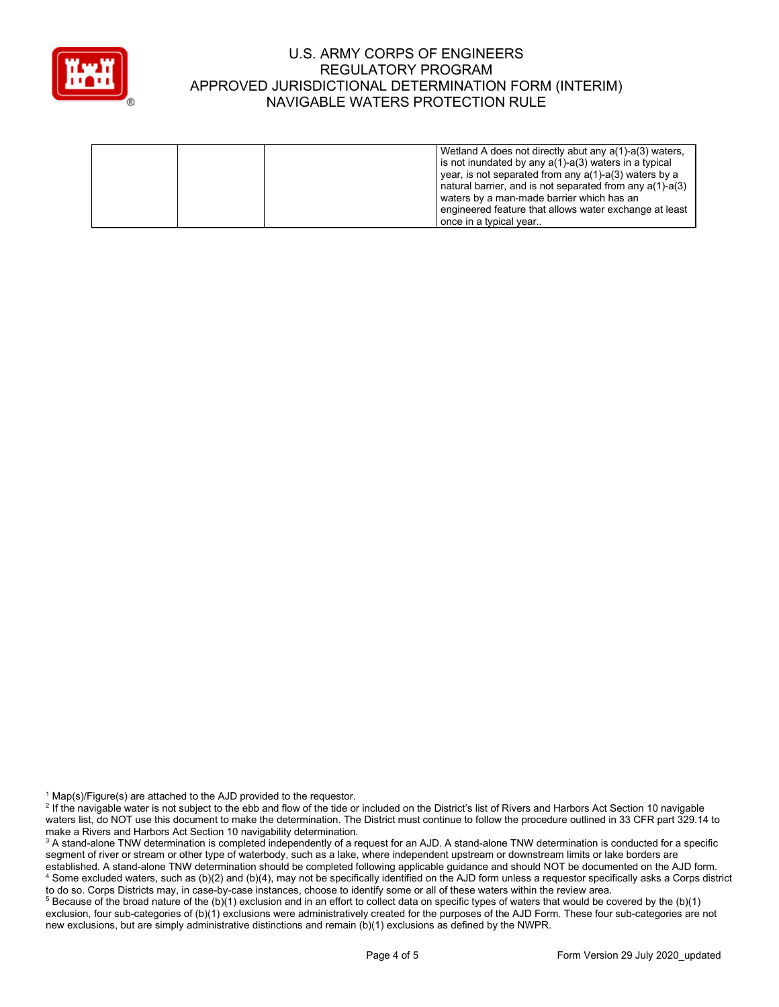

|                                           | Wetland A does not directly abut any a(1)-a(3) waters,        |
|-------------------------------------------|---------------------------------------------------------------|
|                                           | is not inundated by any $a(1)$ - $a(3)$ waters in a typical   |
|                                           | year, is not separated from any $a(1)$ -a(3) waters by a      |
|                                           | I natural barrier, and is not separated from any $a(1)$ -a(3) |
| waters by a man-made barrier which has an |                                                               |
|                                           | engineered feature that allows water exchange at least        |
| once in a typical year                    |                                                               |

 $1$  Map(s)/Figure(s) are attached to the AJD provided to the requestor.

<sup>5</sup> Because of the broad nature of the (b)(1) exclusion and in an effort to collect data on specific types of waters that would be covered by the (b)(1) exclusion, four sub-categories of (b)(1) exclusions were administratively created for the purposes of the AJD Form. These four sub-categories are not new exclusions, but are simply administrative distinctions and remain (b)(1) exclusions as defined by the NWPR.

<sup>&</sup>lt;sup>2</sup> If the navigable water is not subject to the ebb and flow of the tide or included on the District's list of Rivers and Harbors Act Section 10 navigable waters list, do NOT use this document to make the determination. The District must continue to follow the procedure outlined in 33 CFR part 329.14 to make a Rivers and Harbors Act Section 10 navigability determination.

<sup>&</sup>lt;sup>3</sup> A stand-alone TNW determination is completed independently of a request for an AJD. A stand-alone TNW determination is conducted for a specific segment of river or stream or other type of waterbody, such as a lake, where independent upstream or downstream limits or lake borders are established. A stand-alone TNW determination should be completed following applicable guidance and should NOT be documented on the AJD form. <sup>4</sup> Some excluded waters, such as (b)(2) and (b)(4), may not be specifically identified on the AJD form unless a requestor specifically asks a Corps district to do so. Corps Districts may, in case-by-case instances, choose to identify some or all of these waters within the review area.